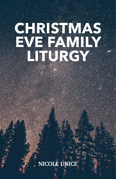# **CHRISTMAS EVE FAMILY LITURGY**

## **NICOLE UNICE**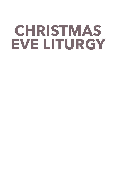# **CHRISTMAS EVE LITURGY**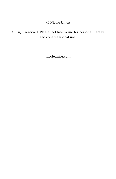© Nicole Unice

All right reserved. Please feel free to use for personal, family, and congregational use.

[nicoleunice.com](http://nicoleunice.com)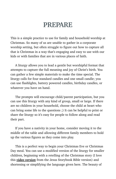### **PREPARE**

This is a simple practice to use for family and household worship at Christmas. So many of us are unable to gather in a corporate worship setting, but often struggle to figure out how to capture all that is Christmas in a way that's engaging and easy to use with our kids or with families that are in various places of faith.

A liturgy allows you to lead a gentle but worshipful format that attempts to capture the full meaning and joy of Christ's birth. You can gather a few simple materials to make the time special. The liturgy calls for four standard candles and one small candle; you can use flashlights, battery powered candles, birthday candles, or whatever you have on hand.

The prompts will encourage child/parent participation, but you can use this liturgy with any kind of group, small or large. If there are no children in your household, choose the child at heart who can bring some life to the questions ;) It can be helpful to print or share the liturgy so it's easy for people to follow along and read their part.

If you have a nativity in your home, consider moving it to the middle of the table and allowing different family members to hold up the various figures as they come into play.

This is a perfect way to begin your Christmas Eve or Christmas Day meal. You can use a modified version of the liturgy for smaller children, beginning with a retelling of the Christmas story (I love this *[video version](https://www.youtube.com/watch?v=4fqMhLApCmA)* from the Jesus Storybook Bible version) and shortening or simplifying the language given here. The beauty of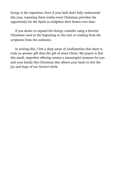liturgy is the repetition. Even if your kids don't fully understand this year, repeating these truths every Christmas provides the opportunity for the Spirit to enlighten their hearts over time.

If you desire to expand the liturgy, consider using a favorite Christmas carol at the beginning or the end, or reading from the scriptures from the endnotes.

In writing this, I felt a deep sense of confirmation that there is truly no greater gift than the gift of Jesus Christ. My prayer is that this small, imperfect offering creates a meaningful moment for you and your family this Christmas that allows your heart to feel the joy and hope of our Savior's birth.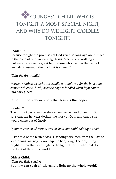### YOUNGEST CHILD: WHY IS TONIGHT A MOST SPECIAL NIGHT, AND WHY DO WE LIGHT CANDLES TONIGHT?

#### **Reader 1:**

Because tonight the promises of God given so long ago are fulfilled in the birth of our Savior-King, Jesus: "the people walking in darkness have seen a great light, those who lived in the land of deep darkness—on them a light is shined."

*[light the first candle]* 

*Heavenly Father, we light this candle to thank you for the hope that comes with Jesus' birth, because hope is kindled when light shines into dark places.* 

#### **Child: But how do we know that Jesus is this hope?**

#### **Reader 2:**

The birth of Jesus was celebrated on heaven and on earth! God says that the heavens declare the glory of God, and that a star would come out of Jacob.

*[point to star on Christmas tree or have one child hold up a star]* 

A star told of the birth of Jesus, sending wise men from the East to start a long journey to worship the baby king. The only thing brighter than that star's light is the light of Jesus, who said "I am the light of the whole world."

#### **Oldest Child:**  *[light the little candle]*  **But how can such a little candle light up the whole world?**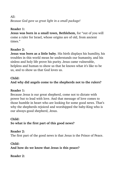$All:$ *Because God gave us great light in a small package!* 

#### **Reader 1:**

**Jesus was born in a small town, Bethlehem,** for "out of you will come a ruler for Israel, whose origins are of old, from ancient times."

#### **Reader 2:**

**Jesus was born as a little baby**. His birth displays his humility, his troubles in this world mean he understands our humanity, and his sinless and holy life prove his purity. Jesus came vulnerable, helpless and human to show us that he knows what it's like to be us, and to show us that God loves us.

#### **Child:**

#### **And why did angels come to the shepherds not to the rulers?**

#### **Reader 1:**

Because Jesus is our great shepherd, come not to dictate with power but to lead with love. And that message of love comes to those humble in heart who are looking for some good news. That's why the shepherds rejoiced and worshipped the baby-King who is our always-good shepherd, Jesus.

#### **Child:**

**So what is the first part of this good news?** 

#### **Reader 2:**

The first part of the good news is that Jesus is the Prince of Peace.

#### **Child: And how do we know that Jesus is this peace?**

**Reader 2:**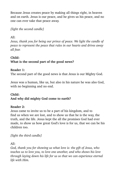Because Jesus creates peace by making all things right, in heaven and on earth. Jesus is our peace, and he gives us his peace, and no one can ever take that peace away.

*[light the second candle]* 

#### $All:$

*Jesus, thank you for being our prince of peace. We light the candle of peace to represent the peace that rules in our hearts and drives away all fear.* 

#### **Child:**

#### **What is the second part of the good news?**

#### **Reader 1:**

The second part of the good news is that Jesus is our Mighty God.

Jesus was a human, like us, but also in his nature he was also God, with no beginning and no end.

#### **Child: And why did mighty God come to earth?**

#### **Reader 2:**

Jesus came to invite us to be a part of his kingdom, and to find us when we are lost, and to show us that he is the way, the truth, and the life. Jesus kept the all the promises God had ever made, to show us how great God's love is for us, that we can be his children too.

*[light the third candle]* 

 $All:$ 

*God, thank you for showing us what love is: the gift of Jesus, who teaches us to love you, to love one another, and who shows his love through laying down his life for us so that we can experience eternal life with Him.*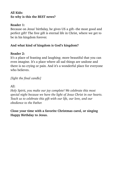#### **All Kids: So why is this the BEST news?**

#### **Reader 1:**

Because on Jesus' birthday, he gives US a gift--the most good and perfect gift! The free gift is eternal life in Christ, where we get to be in his kingdom forever.

#### **And what kind of kingdom is God's kingdom?**

#### **Reader 2:**

It's a place of feasting and laughing; more beautiful that you can even imagine. It's a place where all sad things are undone and there is no crying or pain. And it's a wonderful place for everyone who believes.

*[light the final candle]* 

All:

*Holy Spirit, you make our joy complete! We celebrate this most special night because we have the light of Jesus Christ in our hearts. Teach us to celebrate this gift with our life, our love, and our obedience to the Father.* 

**Close your time with a favorite Christmas carol, or singing Happy Birthday to Jesus.**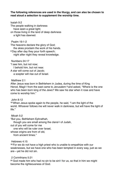**The following references are used in the liturgy, and can also be chosen to read aloud a selection to supplement the worship time.**

Isaiah 9:2 The people walking in darkness have seen a great light; on those living in the land of deep darkness a light has dawned.

Psalm 19:1-2

The heavens declare the glory of God; the skies proclaim the work of his hands.

**<sup>2</sup>** Day after day they pour forth speech; night after night they reveal knowledge.

Numbers 24:17

"I see him, but not now;

I behold him, but not near.

A star will come out of Jacob;

a scepter will rise out of Israel.

Matthew 2:1

After Jesus was born in Bethlehem in Judea, during the time of King Herod, Magi[[a](https://www.biblegateway.com/passage/?search=Matthew+2&version=NIV%22%20%5Cl%20%22fen-NIV-23171a%22%20%5Co%20%22See%20footnote%20a)] from the east came to Jerusalem **<sup>2</sup>** and asked, "Where is the one who has been born king of the Jews? We saw his star when it rose and have come to worship him."

John 8:12

**<sup>12</sup>** When Jesus spoke again to the people, he said, "I am the light of the world. Whoever follows me will never walk in darkness, but will have the light of life."

Micah 5:2

"But you, Bethlehem Ephrathah,

though you are small among the clans[[a](https://www.biblegateway.com/passage/?search=Micah+5:2&version=NIV%22%20%5Cl%20%22fen-NIV-22636a%22%20%5Co%20%22See%20footnote%20a)] of Judah,

out of you will come for me

one who will be ruler over Israel,

whose origins are from of old.

from ancient times."

Hebrews 4:15

**<sup>15</sup>** For we do not have a high priest who is unable to empathize with our weaknesses, but we have one who has been tempted in every way, just as we are—yet he did not sin.

2 Corinthians 5:21

**<sup>21</sup>** God made him who had no sin to be sin[[a\]](https://www.biblegateway.com/passage/?search=2+corinthians+5:21&version=NIV%22%20%5Cl%20%22fen-NIV-28899a%22%20%5Co%20%22See%20footnote%20a) for us, so that in him we might become the righteousness of God.